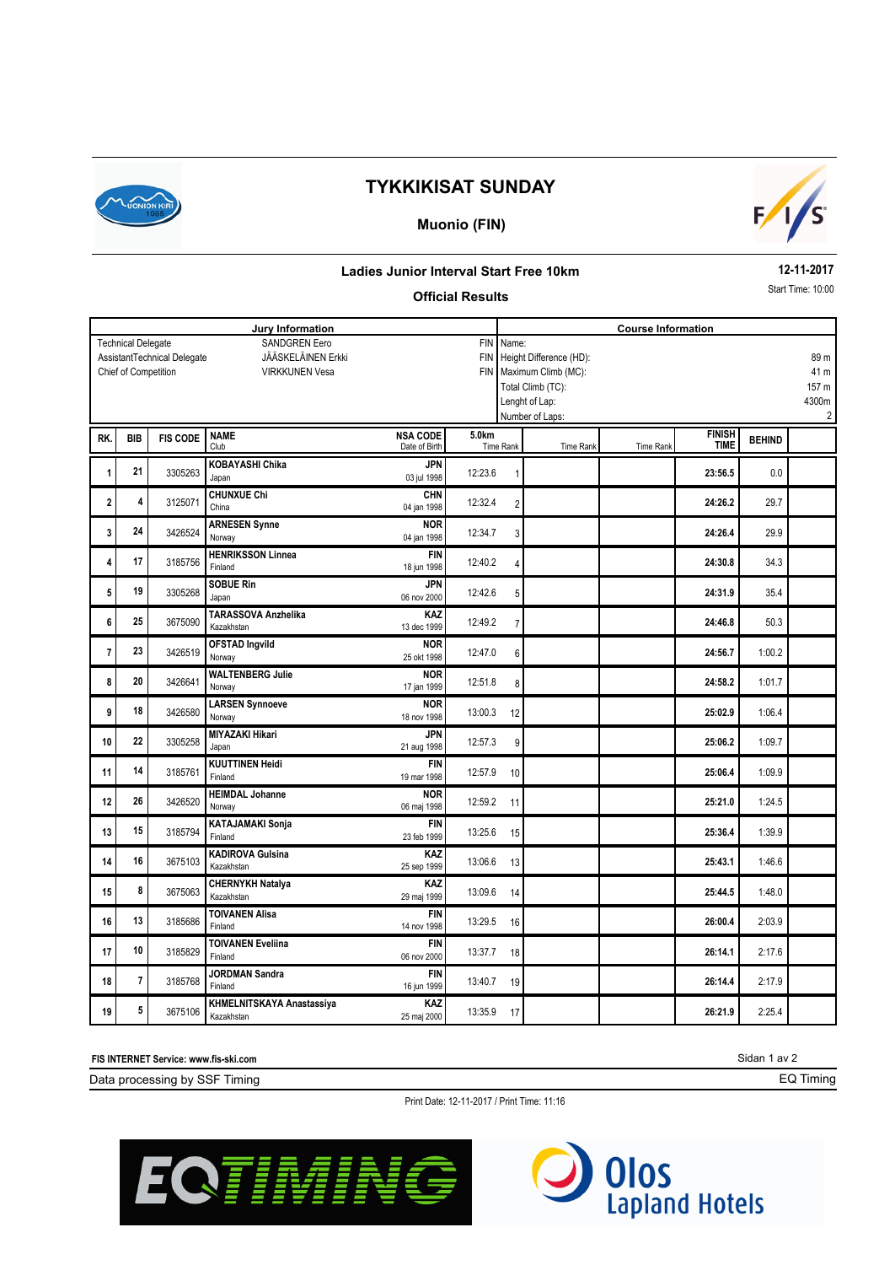

# **TYKKIKISAT SUNDAY**

### **Muonio (FIN)**



### **Ladies Junior Interval Start Free 10km**

#### **Official Results**

**12-11-2017**

Start Time: 10:00

| Jury Information<br><b>SANDGREN Eero</b><br><b>FIN</b><br><b>Technical Delegate</b> |                         |                 |                            |                 | <b>Course Information</b><br>Name: |                                 |                                   |                  |                              |               |       |
|-------------------------------------------------------------------------------------|-------------------------|-----------------|----------------------------|-----------------|------------------------------------|---------------------------------|-----------------------------------|------------------|------------------------------|---------------|-------|
| JÄÄSKELÄINEN Erkki<br>AssistantTechnical Delegate<br><b>FIN</b>                     |                         |                 |                            |                 |                                    | Height Difference (HD):<br>89 m |                                   |                  |                              |               |       |
| <b>VIRKKUNEN Vesa</b><br><b>FIN</b>                                                 |                         |                 |                            |                 |                                    | Maximum Climb (MC):<br>41 m     |                                   |                  |                              |               |       |
| Chief of Competition                                                                |                         |                 |                            |                 |                                    |                                 | Total Climb (TC):                 |                  |                              |               | 157 m |
|                                                                                     |                         |                 |                            |                 |                                    |                                 |                                   |                  |                              |               | 4300m |
|                                                                                     |                         |                 |                            |                 |                                    |                                 | Lenght of Lap:<br>Number of Laps: |                  |                              |               | 2     |
|                                                                                     |                         |                 |                            |                 |                                    |                                 |                                   |                  |                              |               |       |
| RK.                                                                                 | <b>BIB</b>              | <b>FIS CODE</b> | <b>NAME</b>                | <b>NSA CODE</b> | 5.0km                              | <b>Time Rank</b>                |                                   |                  | <b>FINISH</b><br><b>TIME</b> | <b>BEHIND</b> |       |
|                                                                                     |                         |                 | Club                       | Date of Birth   |                                    |                                 | <b>Time Rank</b>                  | <b>Time Rank</b> |                              |               |       |
| 1                                                                                   | 21                      | 3305263         | <b>KOBAYASHI Chika</b>     | <b>JPN</b>      | 12:23.6                            | 1                               |                                   |                  | 23:56.5                      | 0.0           |       |
|                                                                                     |                         |                 | Japan                      | 03 jul 1998     |                                    |                                 |                                   |                  |                              |               |       |
| 2                                                                                   | 4                       | 3125071         | <b>CHUNXUE Chi</b>         | <b>CHN</b>      | 12:32.4                            | $\overline{2}$                  |                                   |                  | 24:26.2                      | 29.7          |       |
|                                                                                     |                         |                 | China                      | 04 jan 1998     |                                    |                                 |                                   |                  |                              |               |       |
| 3                                                                                   | 24                      | 3426524         | <b>ARNESEN Synne</b>       | <b>NOR</b>      | 12:34.7                            | 3                               |                                   |                  | 24:26.4                      | 29.9          |       |
|                                                                                     |                         |                 | Norway                     | 04 jan 1998     |                                    |                                 |                                   |                  |                              |               |       |
| 4                                                                                   | 17                      | 3185756         | <b>HENRIKSSON Linnea</b>   | <b>FIN</b>      | 12:40.2                            | 4                               |                                   |                  | 24:30.8                      | 34.3          |       |
|                                                                                     |                         |                 | Finland                    | 18 jun 1998     |                                    |                                 |                                   |                  |                              |               |       |
| 5                                                                                   | 19                      | 3305268         | <b>SOBUE Rin</b>           | <b>JPN</b>      | 12:42.6                            |                                 |                                   |                  | 24:31.9                      | 35.4          |       |
|                                                                                     |                         |                 | Japan                      | 06 nov 2000     |                                    | 5                               |                                   |                  |                              |               |       |
|                                                                                     | 25                      |                 | <b>TARASSOVA Anzhelika</b> | KAZ             | 12:49.2                            |                                 |                                   |                  |                              | 50.3          |       |
| 6                                                                                   |                         | 3675090         | Kazakhstan                 | 13 dec 1999     |                                    | $\overline{7}$                  |                                   |                  | 24:46.8                      |               |       |
|                                                                                     | 23                      |                 | <b>OFSTAD Ingvild</b>      | <b>NOR</b>      |                                    |                                 |                                   |                  |                              |               |       |
| 7                                                                                   |                         | 3426519         | Norway                     | 25 okt 1998     | 12:47.0                            | 6                               |                                   |                  | 24:56.7                      | 1:00.2        |       |
|                                                                                     | 20                      |                 | <b>WALTENBERG Julie</b>    | <b>NOR</b>      |                                    |                                 |                                   |                  |                              |               |       |
| 8                                                                                   |                         | 3426641         | Norway                     | 17 jan 1999     | 12:51.8                            | 8                               |                                   |                  | 24:58.2                      | 1:01.7        |       |
|                                                                                     | 18                      |                 | <b>LARSEN Synnoeve</b>     | <b>NOR</b>      |                                    |                                 |                                   |                  |                              |               |       |
| 9                                                                                   |                         | 3426580         | Norway                     | 18 nov 1998     | 13:00.3                            | 12                              |                                   |                  | 25:02.9                      | 1:06.4        |       |
| 10                                                                                  | 22                      | 3305258         | <b>MIYAZAKI Hikari</b>     | <b>JPN</b>      | 12:57.3                            |                                 |                                   |                  | 25:06.2                      | 1:09.7        |       |
|                                                                                     |                         |                 | Japan                      | 21 aug 1998     |                                    | 9                               |                                   |                  |                              |               |       |
|                                                                                     | 14                      |                 | <b>KUUTTINEN Heidi</b>     | <b>FIN</b>      |                                    |                                 |                                   |                  |                              | 1:09.9        |       |
| 11                                                                                  |                         | 3185761         | Finland                    | 19 mar 1998     | 12:57.9                            | 10                              |                                   |                  | 25:06.4                      |               |       |
|                                                                                     | 26                      |                 | <b>HEIMDAL Johanne</b>     | <b>NOR</b>      |                                    |                                 |                                   |                  |                              |               |       |
| 12                                                                                  |                         | 3426520         | Norway                     | 06 maj 1998     | 12:59.2                            | 11                              |                                   |                  | 25:21.0                      | 1:24.5        |       |
|                                                                                     |                         |                 | <b>KATAJAMAKI Sonja</b>    | <b>FIN</b>      |                                    |                                 |                                   |                  |                              |               |       |
| 13                                                                                  | 15                      | 3185794         | Finland                    | 23 feb 1999     | 13:25.6                            | 15                              |                                   |                  | 25:36.4                      | 1:39.9        |       |
|                                                                                     |                         |                 | <b>KADIROVA Gulsina</b>    | KAZ             |                                    |                                 |                                   |                  |                              |               |       |
| 14                                                                                  | 16                      | 3675103         | Kazakhstan                 | 25 sep 1999     | 13:06.6                            | 13                              |                                   |                  | 25:43.1                      | 1:46.6        |       |
|                                                                                     |                         |                 | <b>CHERNYKH Natalya</b>    | KAZ             |                                    |                                 |                                   |                  |                              |               |       |
| 15                                                                                  | 8                       | 3675063         | Kazakhstan                 | 29 maj 1999     | 13:09.6                            | 14                              |                                   |                  | 25:44.5                      | 1:48.0        |       |
|                                                                                     |                         |                 | <b>TOIVANEN Alisa</b>      | <b>FIN</b>      |                                    |                                 |                                   |                  |                              |               |       |
| 16                                                                                  | 13                      | 3185686         | Finland                    | 14 nov 1998     | 13:29.5                            | 16                              |                                   |                  | 26:00.4                      | 2:03.9        |       |
|                                                                                     |                         |                 | <b>TOIVANEN Eveliina</b>   | <b>FIN</b>      |                                    |                                 |                                   |                  |                              |               |       |
| 17                                                                                  | 10                      | 3185829         | Finland                    | 06 nov 2000     | 13:37.7                            | 18                              |                                   |                  | 26:14.1                      | 2:17.6        |       |
|                                                                                     |                         |                 | <b>JORDMAN Sandra</b>      | <b>FIN</b>      |                                    |                                 |                                   |                  |                              |               |       |
| 18                                                                                  | $\overline{\mathbf{r}}$ | 3185768         | Finland                    | 16 jun 1999     | 13:40.7                            | 19                              |                                   |                  | 26:14.4                      | 2:17.9        |       |
|                                                                                     |                         |                 | KHMELNITSKAYA Anastassiya  | KAZ             |                                    |                                 |                                   |                  |                              |               |       |
| 19                                                                                  | 5                       | 3675106         | Kazakhstan                 | 25 maj 2000     | 13:35.9                            | 17                              |                                   |                  | 26:21.9                      | 2:25.4        |       |

**FIS INTERNET Service: www.fis-ski.com**

Data processing by SSF Timing

Print Date: 12-11-2017 / Print Time: 11:16





Sidan 1 av 2 EQ Timing